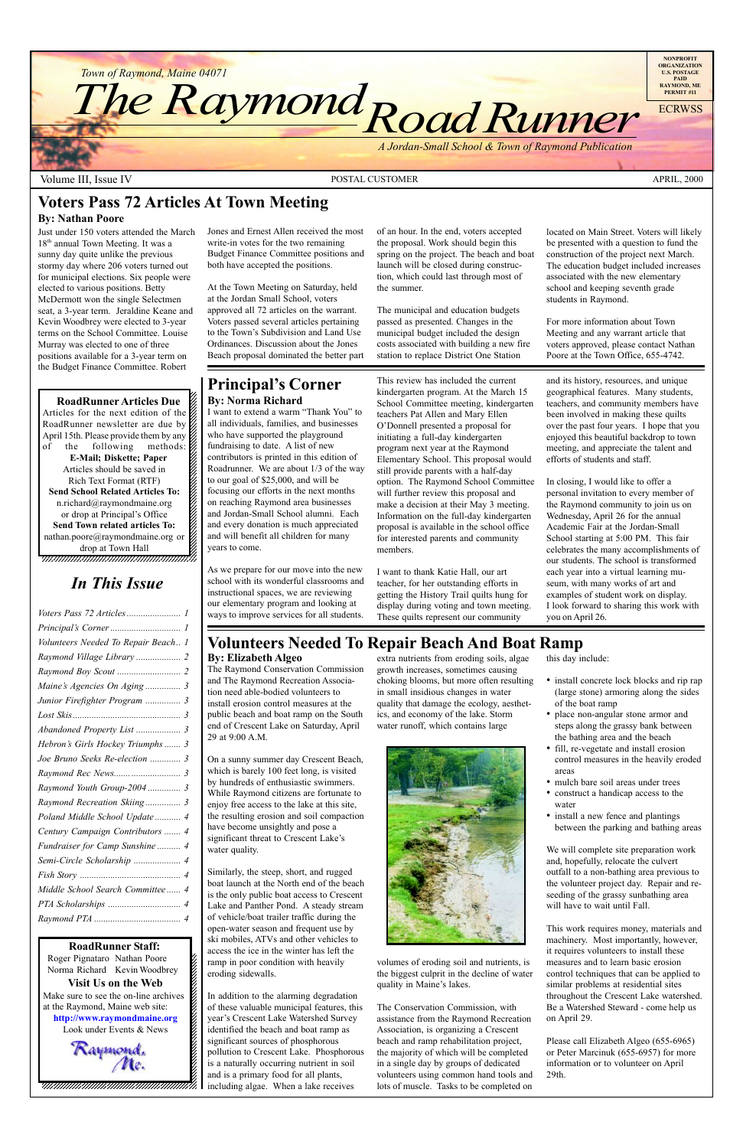12345678901234567890123456789012123456789012345678 **RoadRunner Articles Due**  $1235678901234567890123456789012345678901234567890123456789012345678901234567890123456789012345678901234567890123456789012345678901234567890123456789012345678901234567890123456789012345678901234567890123456789012345678901$ Articles for the next edition of the  $\%$ RoadRunner newsletter are due by  $\hat{z}$ April 15th. Please provide them by any  $\mathcal{Z}$  $1235678901234567890123456789012345678901234567890123456789012345678901234567890123456789012345678901234567890123456789012345678901234567890123456789012345678901234567890123456789012345678901234567890123456789012345678901$ of the following methods:  $\%$ **E-Mail; Diskette; Paper** 12345678901234567890123456789012123456789012345678 Articles should be saved in  $\mathscr{C}$ Rich Text Format (RTF) 12345678901234567890123456789012123456789012345678 **Send School Related Articles To:** n.richard@raymondmaine.org 1234 September 2002 September 2003 September 2003 September 2003 September 2003 September 2003 September 2003 or drop at Principal's Office  $\mathscr{L}$  $1235678901234567890123456789012345678901234567890123456789012345678901234567890123456789012345678901234567890123456789012345678901234567890123456789012345678901234567890123456789012345678901234567890123456789012345678901$ **Send Town related articles To:** nathan.poore@raymondmaine.org or  $\mathscr{D}$ 12345678901234567890123456789012123456789012345678 drop at Town Hall  $\mathscr{C}$ 

12345678901234567890123456789012345678901234567890123456789012345678901234567890123456789012345678901234567890



Volume III, Issue IV and the Contract of the POSTAL CUSTOMER APRICATION APRIL, 2000

12345678901234567890123456789012345678901234567890123456789012345678901234567890123456789012345678901234567890 **RoadRunner Staff:**

Roger Pignataro Nathan Poore & Norma Richard Kevin Woodbrey  $18.8$ **Visit Us on the Web** 12345678901234567890123456789012123456789012345678 Make sure to see the on-line archives  $\%$ at the Raymond, Maine web site:  $\&$ 12345678901234567890123456789012123456789012345678 **http://www.raymondmaine.org** Look under Events  $&$  News

12345678901234567890123456789012123456789012345678 12345678901234567890123456789012123456789012345678

#### **Principal's Corner By: Norma Richard**

I want to extend a warm "Thank You" to all individuals, families, and businesses who have supported the playground fundraising to date. A list of new contributors is printed in this edition of Roadrunner. We are about 1/3 of the way to our goal of \$25,000, and will be focusing our efforts in the next months on reaching Raymond area businesses and Jordan-Small School alumni. Each and every donation is much appreciated and will benefit all children for many years to come.

12345678901234567890123456789012123456789012345678



volumes of eroding soil and nutrients, is the biggest culprit in the decline of water quality in Maine's lakes.

12345678901234567890123456789012123456789012345678 12345678901234567890123456789012123456789012345678 12345678901234567890123456789012123456789012345678

- install concrete lock blocks and rip rap (large stone) armoring along the sides of the boat ramp
- place non-angular stone armor and steps along the grassy bank between the bathing area and the beach
- fill, re-vegetate and install erosion control measures in the heavily eroded areas
- mulch bare soil areas under trees
- construct a handicap access to the water
- install a new fence and plantings between the parking and bathing areas

As we prepare for our move into the new school with its wonderful classrooms and instructional spaces, we are reviewing our elementary program and looking at ways to improve services for all students.

This review has included the current kindergarten program. At the March 15 School Committee meeting, kindergarten teachers Pat Allen and Mary Ellen OíDonnell presented a proposal for initiating a full-day kindergarten program next year at the Raymond Elementary School. This proposal would still provide parents with a half-day option. The Raymond School Committee will further review this proposal and make a decision at their May 3 meeting. Information on the full-day kindergarten proposal is available in the school office for interested parents and community members.

I want to thank Katie Hall, our art teacher, for her outstanding efforts in getting the History Trail quilts hung for display during voting and town meeting. These quilts represent our community

and its history, resources, and unique geographical features. Many students, teachers, and community members have been involved in making these quilts over the past four years. I hope that you enjoyed this beautiful backdrop to town meeting, and appreciate the talent and efforts of students and staff.

In closing, I would like to offer a personal invitation to every member of the Raymond community to join us on Wednesday, April 26 for the annual Academic Fair at the Jordan-Small School starting at 5:00 PM. This fair celebrates the many accomplishments of our students. The school is transformed each year into a virtual learning museum, with many works of art and examples of student work on display. I look forward to sharing this work with you on April 26.

### **Volunteers Needed To Repair Beach And Boat Ramp**

#### **By: Elizabeth Algeo**

The Raymond Conservation Commission and The Raymond Recreation Association need able-bodied volunteers to install erosion control measures at the public beach and boat ramp on the South end of Crescent Lake on Saturday, April 29 at 9:00 A.M.

On a sunny summer day Crescent Beach, which is barely 100 feet long, is visited by hundreds of enthusiastic swimmers. While Raymond citizens are fortunate to enjoy free access to the lake at this site, the resulting erosion and soil compaction have become unsightly and pose a significant threat to Crescent Lake's water quality.

Similarly, the steep, short, and rugged boat launch at the North end of the beach is the only public boat access to Crescent Lake and Panther Pond. A steady stream of vehicle/boat trailer traffic during the open-water season and frequent use by ski mobiles, ATVs and other vehicles to access the ice in the winter has left the ramp in poor condition with heavily eroding sidewalls.

In addition to the alarming degradation of these valuable municipal features, this year's Crescent Lake Watershed Survey identified the beach and boat ramp as significant sources of phosphorous pollution to Crescent Lake. Phosphorous is a naturally occurring nutrient in soil and is a primary food for all plants, including algae. When a lake receives

extra nutrients from eroding soils, algae growth increases, sometimes causing choking blooms, but more often resulting in small insidious changes in water quality that damage the ecology, aesthetics, and economy of the lake. Storm water runoff, which contains large



The Conservation Commission, with assistance from the Raymond Recreation Association, is organizing a Crescent beach and ramp rehabilitation project, the majority of which will be completed in a single day by groups of dedicated volunteers using common hand tools and lots of muscle. Tasks to be completed on

this day include:

We will complete site preparation work and, hopefully, relocate the culvert outfall to a non-bathing area previous to the volunteer project day. Repair and reseeding of the grassy sunbathing area will have to wait until Fall.

This work requires money, materials and machinery. Most importantly, however, it requires volunteers to install these measures and to learn basic erosion control techniques that can be applied to similar problems at residential sites throughout the Crescent Lake watershed. Be a Watershed Steward - come help us on April 29.

Please call Elizabeth Algeo (655-6965) or Peter Marcinuk (655-6957) for more information or to volunteer on April 29th.

### **Voters Pass 72 Articles At Town Meeting**

#### **By: Nathan Poore**

Just under 150 voters attended the March 18<sup>th</sup> annual Town Meeting. It was a sunny day quite unlike the previous stormy day where 206 voters turned out for municipal elections. Six people were elected to various positions. Betty McDermott won the single Selectmen seat, a 3-year term. Jeraldine Keane and Kevin Woodbrey were elected to 3-year terms on the School Committee. Louise Murray was elected to one of three positions available for a 3-year term on the Budget Finance Committee. Robert

Jones and Ernest Allen received the most write-in votes for the two remaining Budget Finance Committee positions and both have accepted the positions.

At the Town Meeting on Saturday, held at the Jordan Small School, voters approved all 72 articles on the warrant. Voters passed several articles pertaining to the Town's Subdivision and Land Use Ordinances. Discussion about the Jones Beach proposal dominated the better part of an hour. In the end, voters accepted the proposal. Work should begin this spring on the project. The beach and boat launch will be closed during construction, which could last through most of the summer.

The municipal and education budgets passed as presented. Changes in the municipal budget included the design costs associated with building a new fire station to replace District One Station

located on Main Street. Voters will likely be presented with a question to fund the construction of the project next March. The education budget included increases associated with the new elementary school and keeping seventh grade students in Raymond.

For more information about Town Meeting and any warrant article that voters approved, please contact Nathan Poore at the Town Office, 655-4742.

# *In This Issue*

| Volunteers Needed To Repair Beach 1 |
|-------------------------------------|
| Raymond Village Library  2          |
|                                     |
| Maine's Agencies On Aging  3        |
| Junior Firefighter Program  3       |
|                                     |
| Abandoned Property List  3          |
| Hebron's Girls Hockey Triumphs 3    |
| Joe Bruno Seeks Re-election  3      |
|                                     |
| Raymond Youth Group-2004  3         |
| Raymond Recreation Skiing 3         |
| Poland Middle School Update  4      |
| Century Campaign Contributors  4    |
|                                     |

| Fundraiser for Camp Sunshine 4   |
|----------------------------------|
|                                  |
|                                  |
| Middle School Search Committee 4 |
|                                  |
|                                  |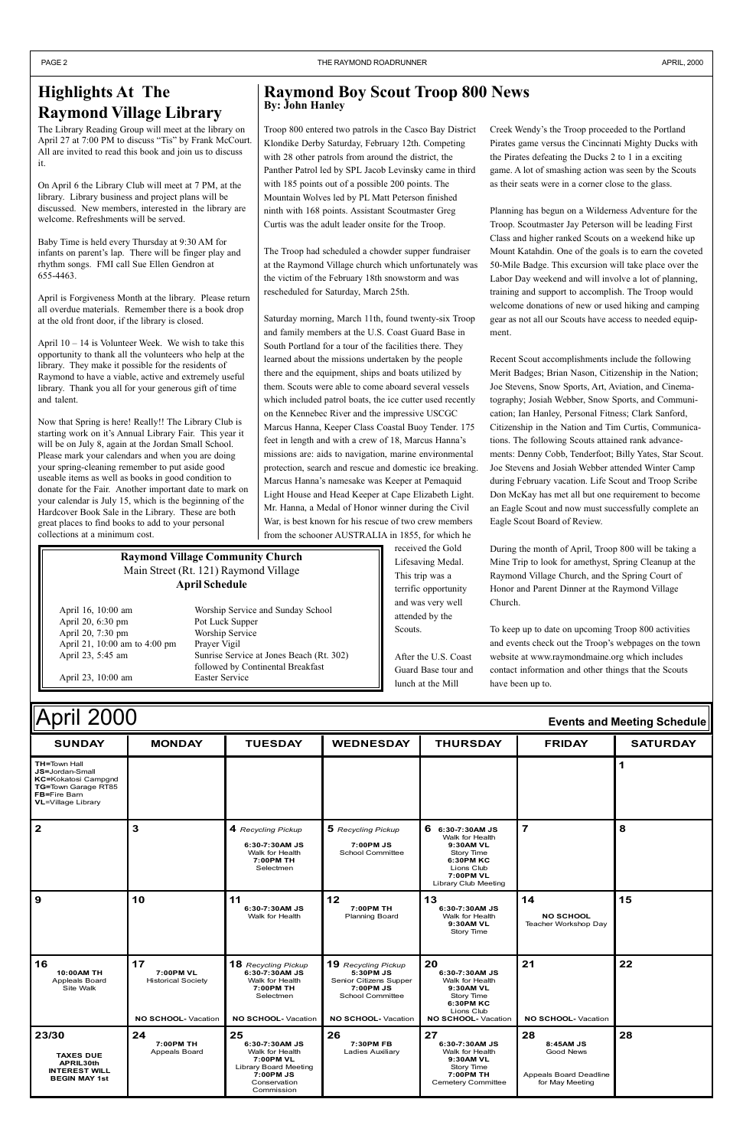Walk for Health

| April 2000<br><b>Events and Meeting Schedule</b>                                                                                                 |               |                    |                    |                     |               |                 |  |  |  |
|--------------------------------------------------------------------------------------------------------------------------------------------------|---------------|--------------------|--------------------|---------------------|---------------|-----------------|--|--|--|
| <b>SUNDAY</b>                                                                                                                                    | <b>MONDAY</b> | <b>TUESDAY</b>     | <b>WEDNESDAY</b>   | <b>THURSDAY</b>     | <b>FRIDAY</b> | <b>SATURDAY</b> |  |  |  |
| <b>TH=Town Hall</b><br><b>JS=Jordan-Small</b><br><b>KC=Kokatosi Campgnd</b><br>TG=Town Garage RT85<br>FB=Fire Barn<br><b>VL</b> =Village Library |               |                    |                    |                     |               |                 |  |  |  |
| $\mathbf{2}$                                                                                                                                     |               | 4 Recycling Pickup | 5 Recycling Pickup | 6<br>6:30-7:30AM JS |               | 8               |  |  |  |

|                                                                                        |                                                                     | 6:30-7:30AM JS<br>Walk for Health<br>7:00PM TH<br>Selectmen                                                                     | 7:00PM JS<br><b>School Committee</b>                                                                                            | 9:30AM VL<br>Story Time<br>6:30PM KC<br>Lions Club<br>7:00PM VL<br>Library Club Meeting                                     |                                                                                  |    |
|----------------------------------------------------------------------------------------|---------------------------------------------------------------------|---------------------------------------------------------------------------------------------------------------------------------|---------------------------------------------------------------------------------------------------------------------------------|-----------------------------------------------------------------------------------------------------------------------------|----------------------------------------------------------------------------------|----|
| 9                                                                                      | 10                                                                  | 11<br>6:30-7:30AM JS<br>Walk for Health                                                                                         | 12<br>7:00PM TH<br><b>Planning Board</b>                                                                                        | 13<br>6:30-7:30AM JS<br>Walk for Health<br>9:30AM VL<br>Story Time                                                          | 14<br><b>NO SCHOOL</b><br>Teacher Workshop Day                                   | 15 |
| 16<br>10:00AM TH<br><b>Appleals Board</b><br>Site Walk                                 | 17<br>7:00PM VL<br><b>Historical Society</b><br>NO SCHOOL- Vacation | <b>18</b> Recycling Pickup<br>6:30-7:30AM JS<br>Walk for Health<br>7:00PM TH<br>Selectmen<br>NO SCHOOL- Vacation                | <b>19</b> Recycling Pickup<br>5:30PM JS<br>Senior Citizens Supper<br>7:00PM JS<br><b>School Committee</b><br>NO SCHOOL-Vacation | 20<br>6:30-7:30AM JS<br>Walk for Health<br>9:30AM VL<br>Story Time<br>6:30PM KC<br>Lions Club<br><b>NO SCHOOL- Vacation</b> | 21<br>NO SCHOOL-Vacation                                                         | 22 |
| 23/30<br><b>TAXES DUE</b><br>APRIL30th<br><b>INTEREST WILL</b><br><b>BEGIN MAY 1st</b> | 24<br>7:00PM TH<br>Appeals Board                                    | 25<br>6:30-7:30AM JS<br>Walk for Health<br>7:00PM VL<br><b>Library Board Meeting</b><br>7:00PM JS<br>Conservation<br>Commission | 26<br>7:30PM FB<br>Ladies Auxiliary                                                                                             | 27<br>6:30-7:30AM JS<br>Walk for Health<br>9:30AM VL<br>Story Time<br>7:00PM TH<br>Cemetery Committee                       | 28<br>8:45AM JS<br><b>Good News</b><br>Appeals Board Deadline<br>for May Meeting | 28 |

April  $10 - 14$  is Volunteer Week. We wish to take this opportunity to thank all the volunteers who help at the library. They make it possible for the residents of Raymond to have a viable, active and extremely useful library. Thank you all for your generous gift of time and talent.

# **Highlights At The Raymond Village Library**

The Library Reading Group will meet at the library on April 27 at 7:00 PM to discuss "Tis" by Frank McCourt. All are invited to read this book and join us to discuss it.

On April 6 the Library Club will meet at 7 PM, at the library. Library business and project plans will be discussed. New members, interested in the library are welcome. Refreshments will be served.

Baby Time is held every Thursday at 9:30 AM for infants on parent's lap. There will be finger play and rhythm songs. FMI call Sue Ellen Gendron at 655-4463.

April is Forgiveness Month at the library. Please return all overdue materials. Remember there is a book drop at the old front door, if the library is closed.

Creek Wendy's the Troop proceeded to the Portland Pirates game versus the Cincinnati Mighty Ducks with the Pirates defeating the Ducks 2 to 1 in a exciting game. A lot of smashing action was seen by the Scouts as their seats were in a corner close to the glass.

Now that Spring is here! Really!! The Library Club is starting work on it's Annual Library Fair. This year it will be on July 8, again at the Jordan Small School. Please mark your calendars and when you are doing your spring-cleaning remember to put aside good useable items as well as books in good condition to donate for the Fair. Another important date to mark on your calendar is July 15, which is the beginning of the Hardcover Book Sale in the Library. These are both great places to find books to add to your personal collections at a minimum cost.

#### **Raymond Boy Scout Troop 800 News By: John Hanley**

Troop 800 entered two patrols in the Casco Bay District Klondike Derby Saturday, February 12th. Competing with 28 other patrols from around the district, the Panther Patrol led by SPL Jacob Levinsky came in third with 185 points out of a possible 200 points. The Mountain Wolves led by PL Matt Peterson finished ninth with 168 points. Assistant Scoutmaster Greg Curtis was the adult leader onsite for the Troop.

The Troop had scheduled a chowder supper fundraiser at the Raymond Village church which unfortunately was the victim of the February 18th snowstorm and was rescheduled for Saturday, March 25th.

Saturday morning, March 11th, found twenty-six Troop and family members at the U.S. Coast Guard Base in South Portland for a tour of the facilities there. They learned about the missions undertaken by the people there and the equipment, ships and boats utilized by them. Scouts were able to come aboard several vessels which included patrol boats, the ice cutter used recently on the Kennebec River and the impressive USCGC Marcus Hanna, Keeper Class Coastal Buoy Tender. 175 feet in length and with a crew of 18, Marcus Hanna's missions are: aids to navigation, marine environmental protection, search and rescue and domestic ice breaking. Marcus Hanna's namesake was Keeper at Pemaquid Light House and Head Keeper at Cape Elizabeth Light. Mr. Hanna, a Medal of Honor winner during the Civil War, is best known for his rescue of two crew members from the schooner AUSTRALIA in 1855, for which he

> received the Gold Lifesaving Medal. This trip was a terrific opportunity and was very well attended by the Scouts.

After the U.S. Coast Guard Base tour and lunch at the Mill

Planning has begun on a Wilderness Adventure for the Troop. Scoutmaster Jay Peterson will be leading First Class and higher ranked Scouts on a weekend hike up Mount Katahdin. One of the goals is to earn the coveted 50-Mile Badge. This excursion will take place over the Labor Day weekend and will involve a lot of planning, training and support to accomplish. The Troop would welcome donations of new or used hiking and camping gear as not all our Scouts have access to needed equipment.

Recent Scout accomplishments include the following Merit Badges; Brian Nason, Citizenship in the Nation; Joe Stevens, Snow Sports, Art, Aviation, and Cinematography; Josiah Webber, Snow Sports, and Communication; Ian Hanley, Personal Fitness; Clark Sanford, Citizenship in the Nation and Tim Curtis, Communications. The following Scouts attained rank advancements: Denny Cobb, Tenderfoot; Billy Yates, Star Scout. Joe Stevens and Josiah Webber attended Winter Camp during February vacation. Life Scout and Troop Scribe Don McKay has met all but one requirement to become an Eagle Scout and now must successfully complete an Eagle Scout Board of Review.

During the month of April, Troop 800 will be taking a Mine Trip to look for amethyst, Spring Cleanup at the Raymond Village Church, and the Spring Court of Honor and Parent Dinner at the Raymond Village Church.

To keep up to date on upcoming Troop 800 activities and events check out the Troop's webpages on the town website at www.raymondmaine.org which includes contact information and other things that the Scouts have been up to.

#### **Raymond Village Community Church** Main Street (Rt. 121) Raymond Village **April Schedule**

April 20, 6:30 pm Pot Luck Supper April 20, 7:30 pm Worship Service April 21, 10:00 am to 4:00 pm Prayer Vigil

April 16, 10:00 am Worship Service and Sunday School April 23, 5:45 am Sunrise Service at Jones Beach (Rt. 302) followed by Continental Breakfast April 23, 10:00 am Easter Service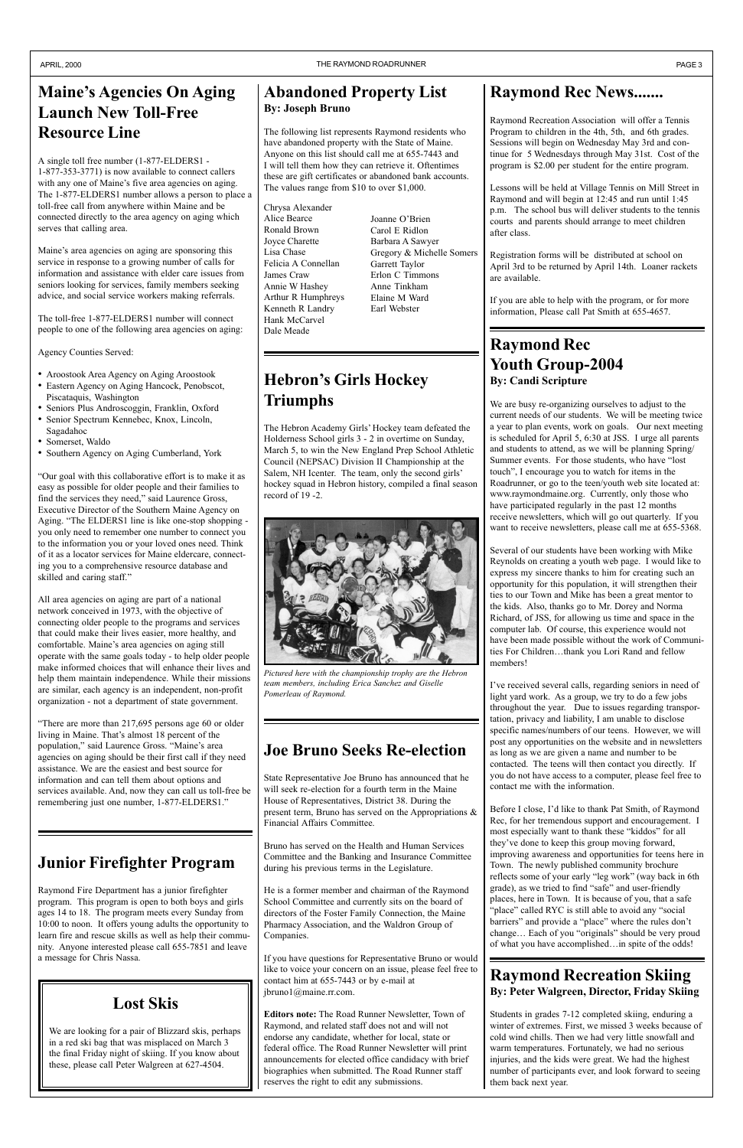# **Maine's Agencies On Aging Launch New Toll-Free Resource Line**

A single toll free number (1-877-ELDERS1 - 1-877-353-3771) is now available to connect callers with any one of Maine's five area agencies on aging. The 1-877-ELDERS1 number allows a person to place a toll-free call from anywhere within Maine and be connected directly to the area agency on aging which serves that calling area.

Maine's area agencies on aging are sponsoring this service in response to a growing number of calls for information and assistance with elder care issues from seniors looking for services, family members seeking advice, and social service workers making referrals.

- ï Aroostook Area Agency on Aging Aroostook
- ï Eastern Agency on Aging Hancock, Penobscot, Piscataquis, Washington
- ï Seniors Plus Androscoggin, Franklin, Oxford
- Senior Spectrum Kennebec, Knox, Lincoln, Sagadahoc
- Somerset, Waldo
- Southern Agency on Aging Cumberland, York

ìOur goal with this collaborative effort is to make it as easy as possible for older people and their families to find the services they need," said Laurence Gross, Executive Director of the Southern Maine Agency on Aging. "The ELDERS1 line is like one-stop shopping you only need to remember one number to connect you to the information you or your loved ones need. Think of it as a locator services for Maine eldercare, connecting you to a comprehensive resource database and skilled and caring staff."

The toll-free 1-877-ELDERS1 number will connect people to one of the following area agencies on aging:

Agency Counties Served:

We are busy re-organizing ourselves to adjust to the current needs of our students. We will be meeting twice a year to plan events, work on goals. Our next meeting is scheduled for April 5, 6:30 at JSS. I urge all parents and students to attend, as we will be planning Spring/ Summer events. For those students, who have "lost touch", I encourage you to watch for items in the Roadrunner, or go to the teen/youth web site located at: www.raymondmaine.org. Currently, only those who have participated regularly in the past 12 months receive newsletters, which will go out quarterly. If you want to receive newsletters, please call me at 655-5368.

All area agencies on aging are part of a national network conceived in 1973, with the objective of connecting older people to the programs and services that could make their lives easier, more healthy, and comfortable. Maine's area agencies on aging still operate with the same goals today - to help older people make informed choices that will enhance their lives and help them maintain independence. While their missions are similar, each agency is an independent, non-profit organization - not a department of state government.

"There are more than  $217,695$  persons age 60 or older living in Maine. That's almost 18 percent of the population," said Laurence Gross. "Maine's area agencies on aging should be their first call if they need assistance. We are the easiest and best source for information and can tell them about options and services available. And, now they can call us toll-free be remembering just one number, 1-877-ELDERS1."

I've received several calls, regarding seniors in need of light yard work. As a group, we try to do a few jobs throughout the year. Due to issues regarding transportation, privacy and liability, I am unable to disclose specific names/numbers of our teens. However, we will post any opportunities on the website and in newsletters as long as we are given a name and number to be contacted. The teens will then contact you directly. If you do not have access to a computer, please feel free to contact me with the information.

Before I close, I'd like to thank Pat Smith, of Raymond Rec, for her tremendous support and encouragement. I most especially want to thank these "kiddos" for all they've done to keep this group moving forward, improving awareness and opportunities for teens here in Town. The newly published community brochure reflects some of your early "leg work" (way back in 6th grade), as we tried to find "safe" and user-friendly places, here in Town. It is because of you, that a safe "place" called RYC is still able to avoid any "social barriers" and provide a "place" where the rules don't change... Each of you "originals" should be very proud of what you have accomplished...in spite of the odds!

### **Raymond Rec News.......**

Raymond Recreation Association will offer a Tennis Program to children in the 4th, 5th, and 6th grades. Sessions will begin on Wednesday May 3rd and continue for 5 Wednesdays through May 31st. Cost of the program is \$2.00 per student for the entire program.

Lessons will be held at Village Tennis on Mill Street in Raymond and will begin at 12:45 and run until 1:45 p.m. The school bus will deliver students to the tennis courts and parents should arrange to meet children after class.

Registration forms will be distributed at school on April 3rd to be returned by April 14th. Loaner rackets are available.

If you are able to help with the program, or for more information, Please call Pat Smith at 655-4657.

#### **Raymond Rec Youth Group-2004 By: Candi Scripture**

# **Hebron's Girls Hockey Triumphs**

Several of our students have been working with Mike Reynolds on creating a youth web page. I would like to express my sincere thanks to him for creating such an opportunity for this population, it will strengthen their ties to our Town and Mike has been a great mentor to the kids. Also, thanks go to Mr. Dorey and Norma Richard, of JSS, for allowing us time and space in the computer lab. Of course, this experience would not have been made possible without the work of Communities For Children...thank you Lori Rand and fellow members!

The Hebron Academy Girls' Hockey team defeated the Holderness School girls 3 - 2 in overtime on Sunday, March 5, to win the New England Prep School Athletic Council (NEPSAC) Division II Championship at the Salem, NH Icenter. The team, only the second girls' hockey squad in Hebron history, compiled a final season record of 19 -2.

Joanne O'Brien Carol E Ridlon Barbara A Sawyer Gregory & Michelle Somers Garrett Taylor Erlon C Timmons Anne Tinkham Elaine M Ward Earl Webster

#### **Raymond Recreation Skiing By: Peter Walgreen, Director, Friday Skiing**

Students in grades 7-12 completed skiing, enduring a winter of extremes. First, we missed 3 weeks because of cold wind chills. Then we had very little snowfall and warm temperatures. Fortunately, we had no serious injuries, and the kids were great. We had the highest number of participants ever, and look forward to seeing them back next year.

# **Junior Firefighter Program**

Raymond Fire Department has a junior firefighter program. This program is open to both boys and girls ages 14 to 18. The program meets every Sunday from 10:00 to noon. It offers young adults the opportunity to learn fire and rescue skills as well as help their community. Anyone interested please call 655-7851 and leave a message for Chris Nassa.

### **Lost Skis**

We are looking for a pair of Blizzard skis, perhaps in a red ski bag that was misplaced on March 3 the final Friday night of skiing. If you know about these, please call Peter Walgreen at 627-4504.

#### **Abandoned Property List By: Joseph Bruno**

The following list represents Raymond residents who have abandoned property with the State of Maine. Anyone on this list should call me at 655-7443 and I will tell them how they can retrieve it. Oftentimes these are gift certificates or abandoned bank accounts. The values range from \$10 to over \$1,000.

# **Joe Bruno Seeks Re-election**

State Representative Joe Bruno has announced that he will seek re-election for a fourth term in the Maine House of Representatives, District 38. During the present term, Bruno has served on the Appropriations & Financial Affairs Committee.

Bruno has served on the Health and Human Services Committee and the Banking and Insurance Committee during his previous terms in the Legislature.

He is a former member and chairman of the Raymond School Committee and currently sits on the board of directors of the Foster Family Connection, the Maine Pharmacy Association, and the Waldron Group of Companies.

If you have questions for Representative Bruno or would like to voice your concern on an issue, please feel free to contact him at 655-7443 or by e-mail at jbruno1@maine.rr.com.

**Editors note:** The Road Runner Newsletter, Town of Raymond, and related staff does not and will not endorse any candidate, whether for local, state or federal office. The Road Runner Newsletter will print announcements for elected office candidacy with brief biographies when submitted. The Road Runner staff reserves the right to edit any submissions.



*Pictured here with the championship trophy are the Hebron team members, including Erica Sanchez and Giselle Pomerleau of Raymond.*

Chrysa Alexander Alice Bearce Ronald Brown Joyce Charette Lisa Chase Felicia A Connellan James Craw Annie W Hashey Arthur R Humphreys Kenneth R Landry Hank McCarvel Dale Meade